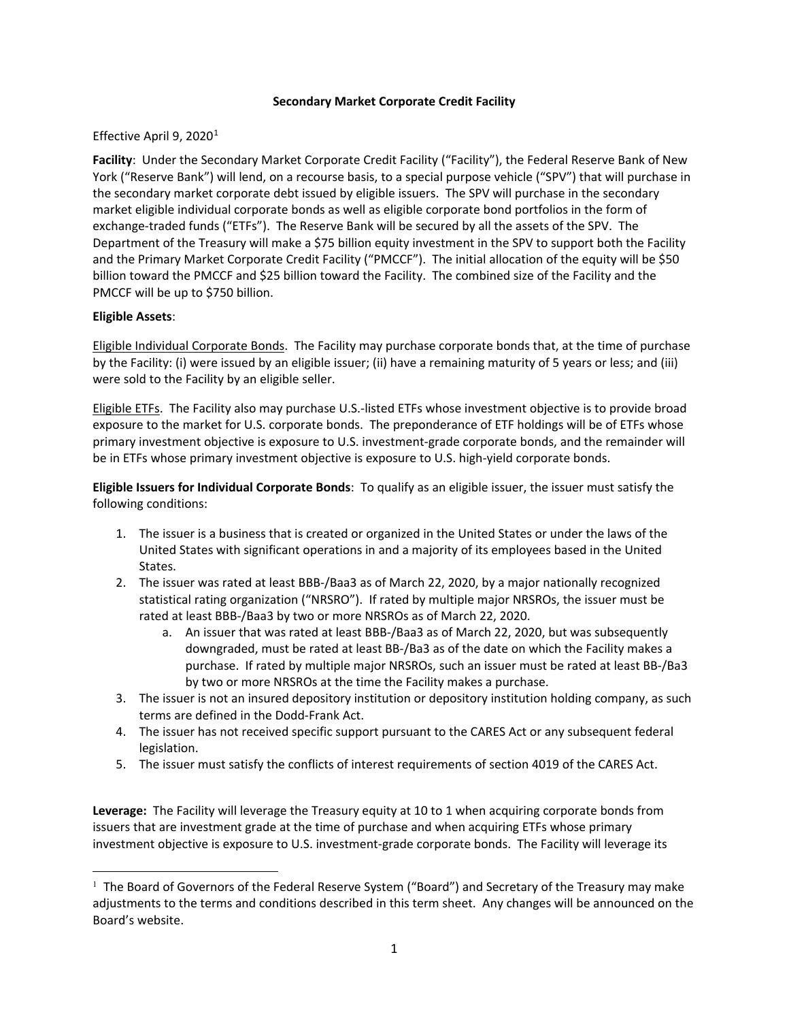## **Secondary Market Corporate Credit Facility**

## Effective April 9, 2020<sup>[1](#page-0-0)</sup>

**Facility**: Under the Secondary Market Corporate Credit Facility ("Facility"), the Federal Reserve Bank of New York ("Reserve Bank") will lend, on a recourse basis, to a special purpose vehicle ("SPV") that will purchase in the secondary market corporate debt issued by eligible issuers. The SPV will purchase in the secondary market eligible individual corporate bonds as well as eligible corporate bond portfolios in the form of exchange-traded funds ("ETFs"). The Reserve Bank will be secured by all the assets of the SPV. The Department of the Treasury will make a \$75 billion equity investment in the SPV to support both the Facility and the Primary Market Corporate Credit Facility ("PMCCF"). The initial allocation of the equity will be \$50 billion toward the PMCCF and \$25 billion toward the Facility. The combined size of the Facility and the PMCCF will be up to \$750 billion.

## **Eligible Assets**:

 $\overline{\phantom{a}}$ 

Eligible Individual Corporate Bonds. The Facility may purchase corporate bonds that, at the time of purchase by the Facility: (i) were issued by an eligible issuer; (ii) have a remaining maturity of 5 years or less; and (iii) were sold to the Facility by an eligible seller.

Eligible ETFs. The Facility also may purchase U.S.-listed ETFs whose investment objective is to provide broad exposure to the market for U.S. corporate bonds. The preponderance of ETF holdings will be of ETFs whose primary investment objective is exposure to U.S. investment-grade corporate bonds, and the remainder will be in ETFs whose primary investment objective is exposure to U.S. high-yield corporate bonds.

**Eligible Issuers for Individual Corporate Bonds**: To qualify as an eligible issuer, the issuer must satisfy the following conditions:

- 1. The issuer is a business that is created or organized in the United States or under the laws of the United States with significant operations in and a majority of its employees based in the United States.
- 2. The issuer was rated at least BBB-/Baa3 as of March 22, 2020, by a major nationally recognized statistical rating organization ("NRSRO"). If rated by multiple major NRSROs, the issuer must be rated at least BBB-/Baa3 by two or more NRSROs as of March 22, 2020.
	- a. An issuer that was rated at least BBB-/Baa3 as of March 22, 2020, but was subsequently downgraded, must be rated at least BB-/Ba3 as of the date on which the Facility makes a purchase. If rated by multiple major NRSROs, such an issuer must be rated at least BB-/Ba3 by two or more NRSROs at the time the Facility makes a purchase.
- 3. The issuer is not an insured depository institution or depository institution holding company, as such terms are defined in the Dodd-Frank Act.
- 4. The issuer has not received specific support pursuant to the CARES Act or any subsequent federal legislation.
- 5. The issuer must satisfy the conflicts of interest requirements of section 4019 of the CARES Act.

**Leverage:** The Facility will leverage the Treasury equity at 10 to 1 when acquiring corporate bonds from issuers that are investment grade at the time of purchase and when acquiring ETFs whose primary investment objective is exposure to U.S. investment-grade corporate bonds. The Facility will leverage its

<span id="page-0-0"></span><sup>&</sup>lt;sup>1</sup> The Board of Governors of the Federal Reserve System ("Board") and Secretary of the Treasury may make adjustments to the terms and conditions described in this term sheet. Any changes will be announced on the Board's website.